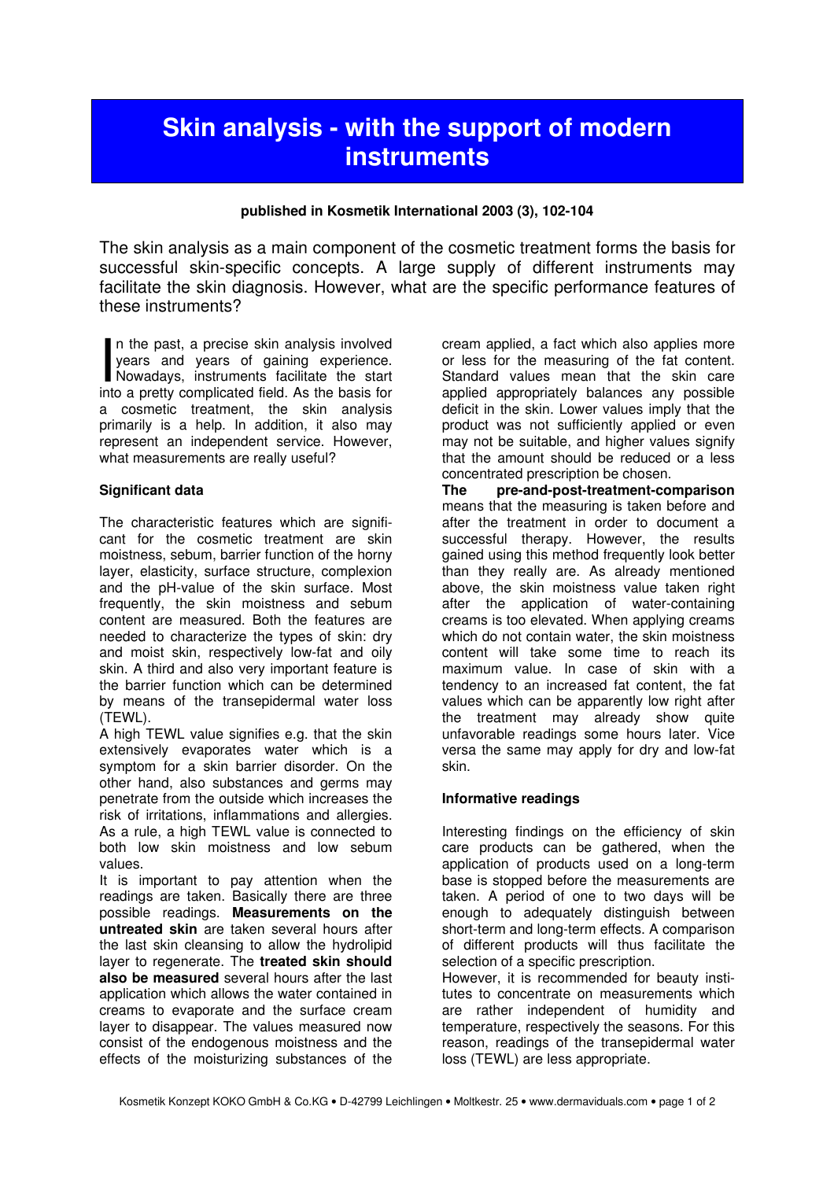# Skin analysis - with the support of modern **instruments**

# published in Kosmetik International 2003 (3), 102-104

The skin analysis as a main component of the cosmetic treatment forms the basis for successful skin-specific concepts. A large supply of different instruments may facilitate the skin diagnosis. However, what are the specific performance features of these instruments?

n the past, a precise skin analysis involved years and years of gaining experience. In the past, a precise skin analysis involved<br>years and years of gaining experience.<br>Nowadays, instruments facilitate the start<br>into a pretty complicated field. As the basis for into a pretty complicated field. As the basis for a cosmetic treatment, the skin analysis primarily is a help. In addition, it also may represent an independent service. However, what measurements are really useful?

# Significant data

The characteristic features which are significant for the cosmetic treatment are skin moistness, sebum, barrier function of the horny layer, elasticity, surface structure, complexion and the pH-value of the skin surface. Most frequently, the skin moistness and sebum content are measured. Both the features are needed to characterize the types of skin: dry and moist skin, respectively low-fat and oily skin. A third and also very important feature is the barrier function which can be determined by means of the transepidermal water loss (TEWL).

A high TEWL value signifies e.g. that the skin extensively evaporates water which is a symptom for a skin barrier disorder. On the other hand, also substances and germs may penetrate from the outside which increases the risk of irritations, inflammations and allergies. As a rule, a high TEWL value is connected to both low skin moistness and low sebum values.

It is important to pay attention when the readings are taken. Basically there are three possible readings. Measurements on the untreated skin are taken several hours after the last skin cleansing to allow the hydrolipid layer to regenerate. The treated skin should also be measured several hours after the last application which allows the water contained in creams to evaporate and the surface cream layer to disappear. The values measured now consist of the endogenous moistness and the effects of the moisturizing substances of the

cream applied, a fact which also applies more or less for the measuring of the fat content. Standard values mean that the skin care applied appropriately balances any possible deficit in the skin. Lower values imply that the product was not sufficiently applied or even may not be suitable, and higher values signify that the amount should be reduced or a less concentrated prescription be chosen.

The pre-and-post-treatment-comparison means that the measuring is taken before and after the treatment in order to document a successful therapy. However, the results gained using this method frequently look better than they really are. As already mentioned above, the skin moistness value taken right after the application of water-containing creams is too elevated. When applying creams which do not contain water, the skin moistness content will take some time to reach its maximum value. In case of skin with a tendency to an increased fat content, the fat values which can be apparently low right after the treatment may already show quite unfavorable readings some hours later. Vice versa the same may apply for dry and low-fat skin.

#### Informative readings

Interesting findings on the efficiency of skin care products can be gathered, when the application of products used on a long-term base is stopped before the measurements are taken. A period of one to two days will be enough to adequately distinguish between short-term and long-term effects. A comparison of different products will thus facilitate the selection of a specific prescription.

However, it is recommended for beauty institutes to concentrate on measurements which are rather independent of humidity and temperature, respectively the seasons. For this reason, readings of the transepidermal water loss (TEWL) are less appropriate.